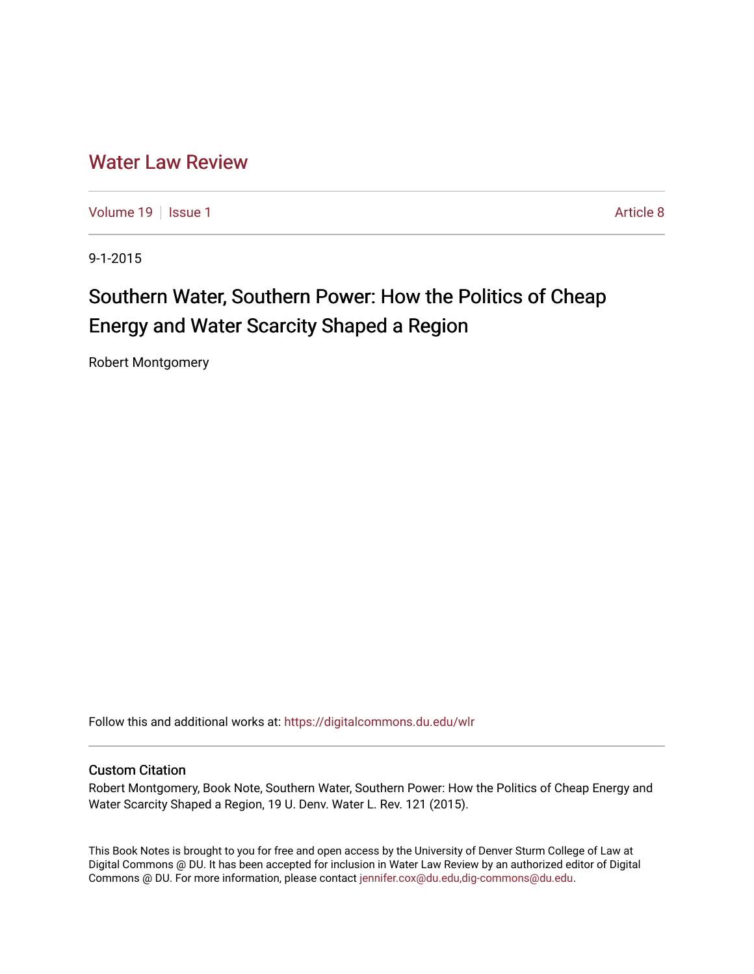## [Water Law Review](https://digitalcommons.du.edu/wlr)

[Volume 19](https://digitalcommons.du.edu/wlr/vol19) | [Issue 1](https://digitalcommons.du.edu/wlr/vol19/iss1) Article 8

9-1-2015

## Southern Water, Southern Power: How the Politics of Cheap Energy and Water Scarcity Shaped a Region

Robert Montgomery

Follow this and additional works at: [https://digitalcommons.du.edu/wlr](https://digitalcommons.du.edu/wlr?utm_source=digitalcommons.du.edu%2Fwlr%2Fvol19%2Fiss1%2F8&utm_medium=PDF&utm_campaign=PDFCoverPages) 

## Custom Citation

Robert Montgomery, Book Note, Southern Water, Southern Power: How the Politics of Cheap Energy and Water Scarcity Shaped a Region, 19 U. Denv. Water L. Rev. 121 (2015).

This Book Notes is brought to you for free and open access by the University of Denver Sturm College of Law at Digital Commons @ DU. It has been accepted for inclusion in Water Law Review by an authorized editor of Digital Commons @ DU. For more information, please contact [jennifer.cox@du.edu,dig-commons@du.edu.](mailto:jennifer.cox@du.edu,dig-commons@du.edu)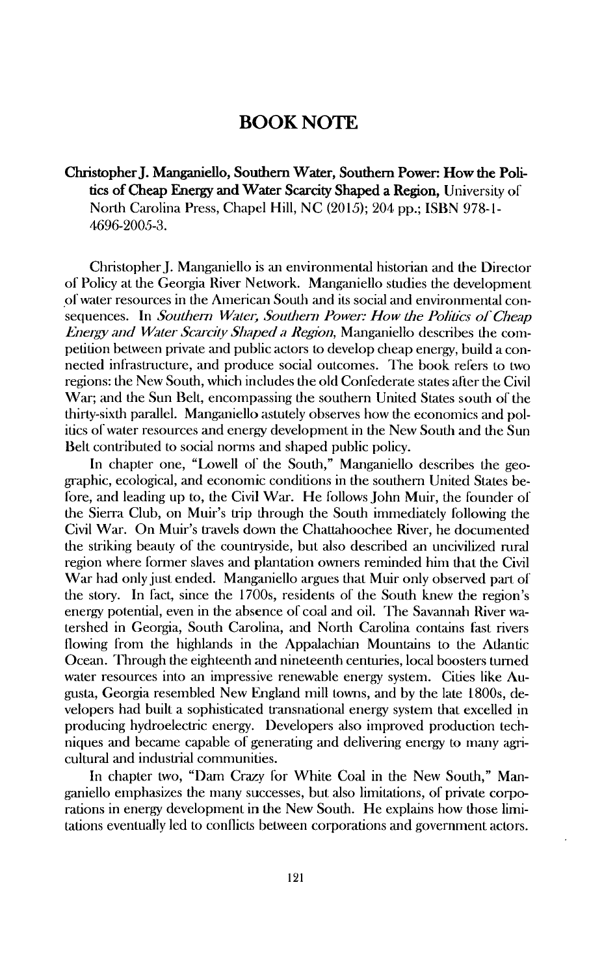## **BOOK NOTE**

**Christopher J. Manganiello, Southern Water, Southern Power: How the Politics of Cheap Energy and Water Scarcity Shaped a Region,** University of North Carolina Press, Chapel Hill, NC (2015); 204 pp.; ISBN 978-1- **4696-2005-3.**

Christopher J. Manganiello is an environmental historian and the Director of Policy at the Georgia River Network. Manganiello studies the development of water resources in the American South and its social and environmental consequences. In *Southern Watei; Southern Powenr" How the Poliics of Cheap Energy and Water Scarcity Shaped a Region,* Manganiello describes the competition between private and public actors to develop cheap energy, build a connected infrastructure, and produce social outcomes. The book refers to two regions: the New South, which includes the old Confederate states after the Civil War; and the Sun Belt, encompassing the southern United States south of the thirty-sixth parallel. Manganiello astutely observes how the economics and politics of water resources and energy development in the New South and the Sun Belt contributed to social norms and shaped public policy.

In chapter one, "Lowell of the South," Manganiello describes the geographic, ecological, and economic conditions in the southern United States before, and leading up to, the Civil War. He follows John Muir, the founder of the Sierra Club, on Muir's trip through the South immediately following the Civil War. On Muir's travels down the Chattahoochee River, he documented the striking beauty of the countryside, but also described an uncivilized rural region where former slaves and plantation owners reminded him that the Civil War had only just ended. Manganiello argues that Muir only observed part of the story. In fact, since the 1700s, residents of the South knew the region's energy potential, even in the absence of coal and oil. The Savannah River watershed in Georgia, South Carolina, and North Carolina contains fast rivers flowing from the highlands in the Appalachian Mountains to the Adantic Ocean. Through the eighteenth and nineteenth centuries, local boosters turned water resources into an impressive renewable energy system. Cities like Augusta, Georgia resembled New England mill towns, and by the late 1800s, developers had built a sophisticated transnational energy system that excelled in producing hydroelectric energy. Developers also improved production techniques and became capable of generating and delivering energy to many agricultural and industrial communities.

In chapter two, "Dam Crazy for White Coal in the New South," Manganiello emphasizes the many successes, but also limitations, of private corporations in energy development in the New South. He explains how those limitations eventually led to conflicts between corporations and government actors.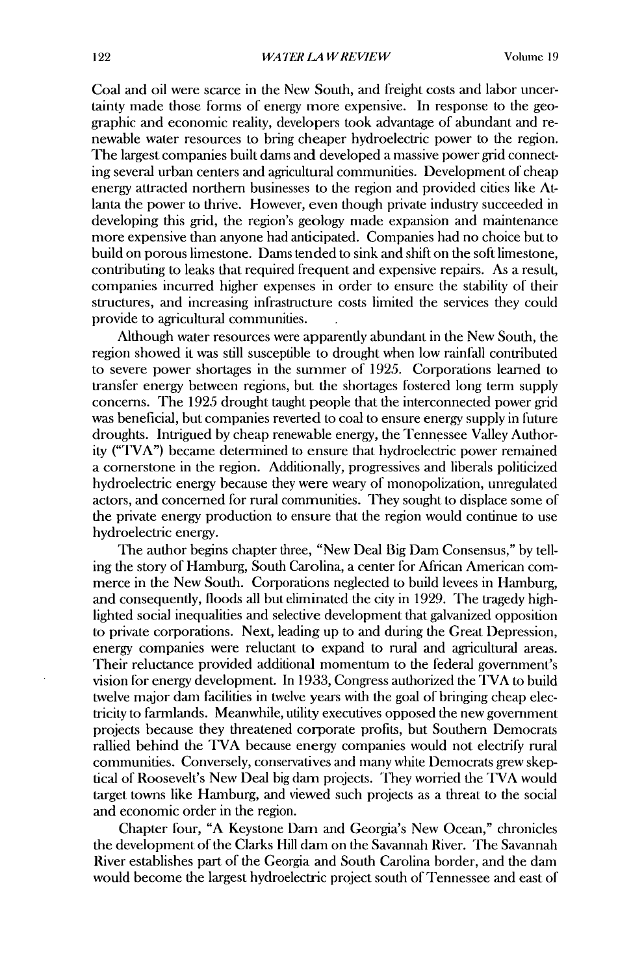Coal and oil were scarce in the New South, and freight costs and labor uncertainty made those forms of energy more expensive. In response to the geographic and economic reality, developers took advantage of abundant and renewable water resources to bring cheaper hydroelectric power to the region. The largest companies built dams and developed a massive power grid connecting several urban centers and agricultural communities. Development of cheap energy attracted northern businesses to the region and provided cities like Atlanta the power to thrive. However, even though private industry succeeded in developing this grid, the region's geology made expansion and maintenance more expensive than anyone had anticipated. Companies had no choice but to build on porous limestone. Dams tended to sink and shift on the soft limestone, contributing to leaks that required frequent and expensive repairs. As a result, companies incurred higher expenses in order to ensure the stability of their structures, and increasing infrastructure costs limited the services they could provide to agricultural communities.

Although water resources were apparently abundant in the New South, the region showed it was still susceptible to drought when low rainfall contributed to severe power shortages in the summer of 1925. Corporations learned to transfer energy between regions, but the shortages fostered long term supply concerns. The 1925 drought taught people that the interconnected power grid was beneficial, but companies reverted to coal to ensure energy supply in future droughts. Intrigued by cheap renewable energy, the Tennessee Valley Authority ("TVA") became determined to ensure that hydroelectric power remained a cornerstone in the region. Additionally, progressives and liberals politicized hydroelectric energy because they were weary of monopolization, unregulated actors, and concerned for rural communities. They sought to displace some of the private energy production to ensure that the region would continue to use hydroelectric energy.

The author begins chapter three, "New Deal Big Dam Consensus," by telling the story of Hamburg, South Carolina, a center for African American commerce in the New South. Corporations neglected to build levees in Hamburg, and consequently, floods all but eliminated the city in 1929. The tragedy highlighted social inequalities and selective development that galvanized opposition to private corporations. Next, leading up to and during the Great Depression, energy companies were reluctant to expand to rural and agricultural areas. Their reluctance provided additional momentum to the federal government's vision for energy development. In 1933, Congress authorized the TVA to build twelve major dam facilities in twelve years with the goal of bringing cheap electricity to farmlands. Meanwhile, utility executives opposed the new government projects because they threatened corporate profits, but Southern Democrats rallied behind the TVA because energy companies would not electrify rural communities. Conversely, conservatives and many white Democrats grew skeptical of Roosevelt's New Deal big dam projects. They worried the TVA would target towns like Hamburg, and viewed such projects as a threat to the social and economic order in the region.

Chapter four, "A Keystone Dan and Georgia's New Ocean," chronicles the development of the Clarks Hill dam on the Savannah River. The Savannah River establishes part of the Georgia and South Carolina border, and the dan would become the largest hydroelectric project south of Tennessee and east of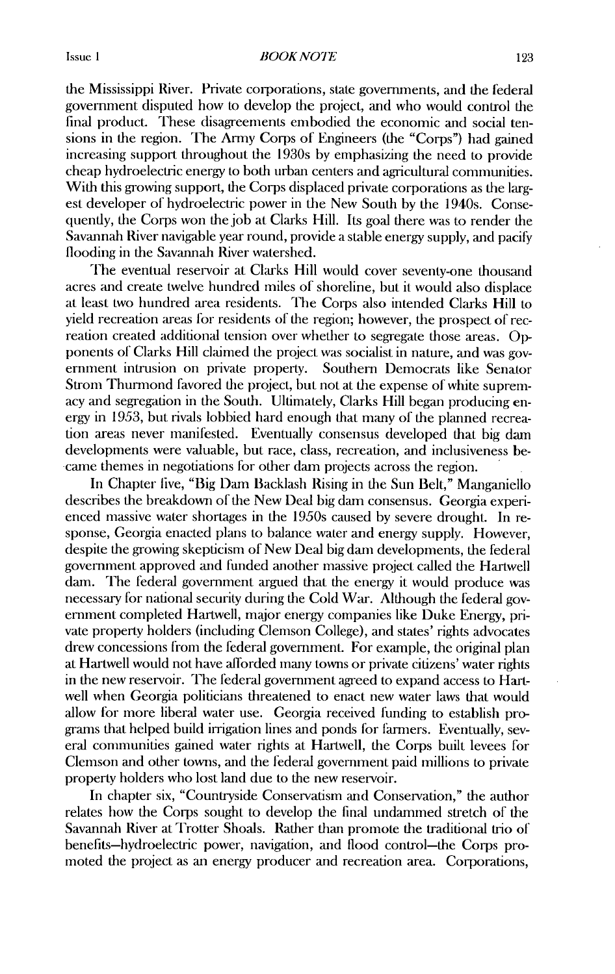the Mississippi River. Private corporations, state governments, and the federal government disputed how to develop the project, and who would control the final product. These disagreements embodied the economic and social tensions in the region. The Army Corps of Engineers (the "Corps") had gained increasing support throughout the 1930s by emphasizing the need to provide cheap hydroelectric energy to both urban centers and agricultural communities. With this growing support, the Corps displaced private corporations as the largest developer of hydroelectric power in the New South by the 1940s. Consequently, the Corps won the job at Clarks Hill. Its goal there was to render the Savannah River navigable year round, provide a stable energy supply, and pacify flooding in the Savannah River watershed.

The eventual reservoir at Clarks Hill would cover seventy-one thousand acres mad create twelve hundred miles of shoreline, but it would also displace at least two hundred area residents. The Corps also intended Clarks Hill to yield recreation areas for residents of the region; however, the prospect of recreation created additional tension over whether to segregate those areas. Opponents of Clarks Hill claimed the project was socialist in nature, and was government intrusion on private property. Southern Democrats like Senator Strom Thurmond favored the project, but not at the expense of white supremacy mad segregation in the South. Ultimately, Clarks Hill began producing energy in 1953, but rivals lobbied hard enough that many of the planned recreation areas never manifested. Eventually consensus developed that big dam developments were valuable, but race, class, recreation, and inclusiveness becarne themes in negotiations for other dam projects across the region.

In Chapter live, "Big Dam Backlash Rising in the Sun Belt," Manganiello describes the breakdown of the New Deal big dam consensus. Georgia experienced massive water shortages in the 1950s caused by severe drought. In response, Georgia enacted plans to balance water and energy supply. However, despite the growing skepticism of New Deal big dam developments, the federal government approved and funded another massive project called the Hartwell darn. The federal government argued that the energy it would produce was necessary for national security during the Cold War. Although the federal government completed Hartwell, major energy companies like Duke Energy, private property holders (including Clemson College), and states' rights advocates drew concessions from the federal government. For example, the original plan at Hartwell would not have afforded many towns or private citizens' water rights in the new reservoir. The federal government agreed to expand access to Hartwell when Georgia politicians threatened to enact new water laws that would allow for more liberal water use. Georgia received funding to establish programs that helped build irrigation lines and ponds for farmers. Eventually, several communities gained water rights at Hartwell, the Corps built levees for Clemson and other towns, and the federal government paid millions to private property holders who lost land due to the new reservoir.

In chapter six, "Countryside Conservatism and Conservation," the author relates how the Corps sought to develop the final undammed stretch of the Savannah River at Trotter Shoals. Rather than promote the traditional trio of benefits-hydroelectric power, navigation, and flood control-the Corps promoted the project as an energy producer and recreation area. Corporations,